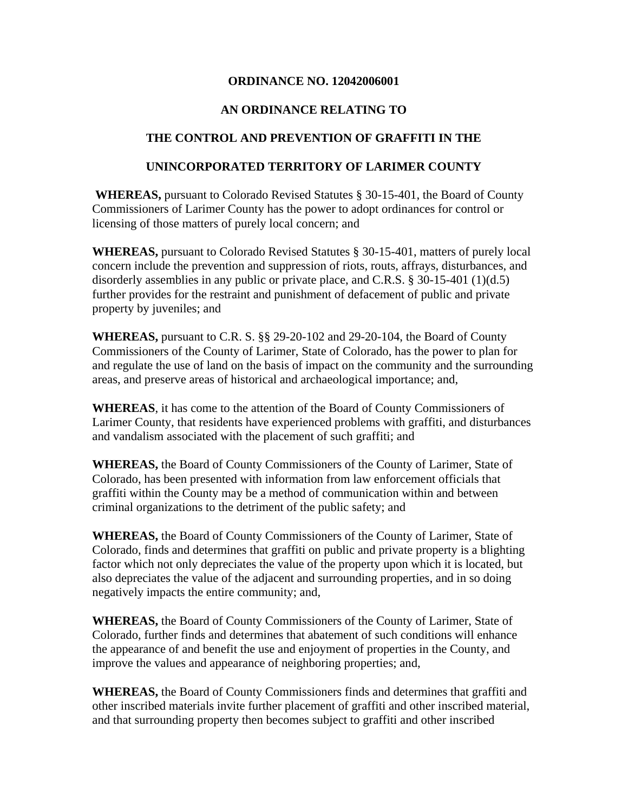#### **ORDINANCE NO. 12042006001**

### **AN ORDINANCE RELATING TO**

#### **THE CONTROL AND PREVENTION OF GRAFFITI IN THE**

#### **UNINCORPORATED TERRITORY OF LARIMER COUNTY**

**WHEREAS,** pursuant to Colorado Revised Statutes § 30-15-401, the Board of County Commissioners of Larimer County has the power to adopt ordinances for control or licensing of those matters of purely local concern; and

**WHEREAS,** pursuant to Colorado Revised Statutes § 30-15-401, matters of purely local concern include the prevention and suppression of riots, routs, affrays, disturbances, and disorderly assemblies in any public or private place, and C.R.S. § 30-15-401 (1)(d.5) further provides for the restraint and punishment of defacement of public and private property by juveniles; and

**WHEREAS,** pursuant to C.R. S. §§ 29-20-102 and 29-20-104, the Board of County Commissioners of the County of Larimer, State of Colorado, has the power to plan for and regulate the use of land on the basis of impact on the community and the surrounding areas, and preserve areas of historical and archaeological importance; and,

**WHEREAS**, it has come to the attention of the Board of County Commissioners of Larimer County, that residents have experienced problems with graffiti, and disturbances and vandalism associated with the placement of such graffiti; and

**WHEREAS,** the Board of County Commissioners of the County of Larimer, State of Colorado, has been presented with information from law enforcement officials that graffiti within the County may be a method of communication within and between criminal organizations to the detriment of the public safety; and

**WHEREAS,** the Board of County Commissioners of the County of Larimer, State of Colorado, finds and determines that graffiti on public and private property is a blighting factor which not only depreciates the value of the property upon which it is located, but also depreciates the value of the adjacent and surrounding properties, and in so doing negatively impacts the entire community; and,

**WHEREAS,** the Board of County Commissioners of the County of Larimer, State of Colorado, further finds and determines that abatement of such conditions will enhance the appearance of and benefit the use and enjoyment of properties in the County, and improve the values and appearance of neighboring properties; and,

**WHEREAS,** the Board of County Commissioners finds and determines that graffiti and other inscribed materials invite further placement of graffiti and other inscribed material, and that surrounding property then becomes subject to graffiti and other inscribed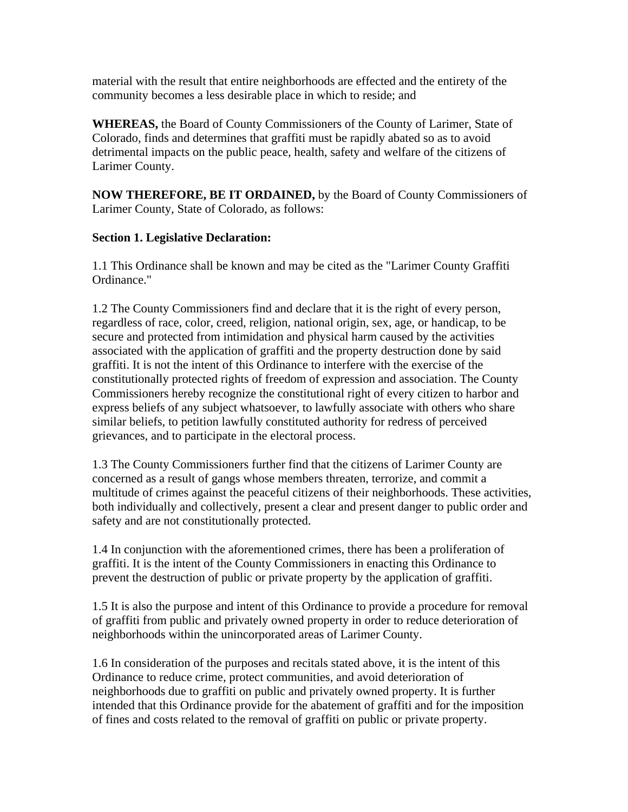material with the result that entire neighborhoods are effected and the entirety of the community becomes a less desirable place in which to reside; and

**WHEREAS,** the Board of County Commissioners of the County of Larimer, State of Colorado, finds and determines that graffiti must be rapidly abated so as to avoid detrimental impacts on the public peace, health, safety and welfare of the citizens of Larimer County.

**NOW THEREFORE, BE IT ORDAINED,** by the Board of County Commissioners of Larimer County, State of Colorado, as follows:

#### **Section 1. Legislative Declaration:**

1.1 This Ordinance shall be known and may be cited as the "Larimer County Graffiti Ordinance."

1.2 The County Commissioners find and declare that it is the right of every person, regardless of race, color, creed, religion, national origin, sex, age, or handicap, to be secure and protected from intimidation and physical harm caused by the activities associated with the application of graffiti and the property destruction done by said graffiti. It is not the intent of this Ordinance to interfere with the exercise of the constitutionally protected rights of freedom of expression and association. The County Commissioners hereby recognize the constitutional right of every citizen to harbor and express beliefs of any subject whatsoever, to lawfully associate with others who share similar beliefs, to petition lawfully constituted authority for redress of perceived grievances, and to participate in the electoral process.

1.3 The County Commissioners further find that the citizens of Larimer County are concerned as a result of gangs whose members threaten, terrorize, and commit a multitude of crimes against the peaceful citizens of their neighborhoods. These activities, both individually and collectively, present a clear and present danger to public order and safety and are not constitutionally protected.

1.4 In conjunction with the aforementioned crimes, there has been a proliferation of graffiti. It is the intent of the County Commissioners in enacting this Ordinance to prevent the destruction of public or private property by the application of graffiti.

1.5 It is also the purpose and intent of this Ordinance to provide a procedure for removal of graffiti from public and privately owned property in order to reduce deterioration of neighborhoods within the unincorporated areas of Larimer County.

1.6 In consideration of the purposes and recitals stated above, it is the intent of this Ordinance to reduce crime, protect communities, and avoid deterioration of neighborhoods due to graffiti on public and privately owned property. It is further intended that this Ordinance provide for the abatement of graffiti and for the imposition of fines and costs related to the removal of graffiti on public or private property.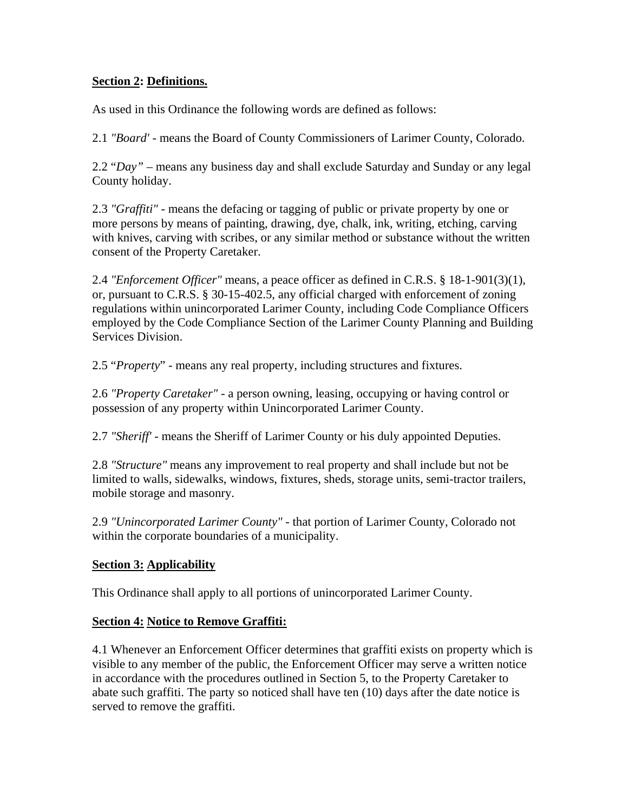## **Section 2: Definitions.**

As used in this Ordinance the following words are defined as follows:

2.1 *"Board' -* means the Board of County Commissioners of Larimer County, Colorado.

2.2 "*Day"* – means any business day and shall exclude Saturday and Sunday or any legal County holiday.

2.3 *"Graffiti" -* means the defacing or tagging of public or private property by one or more persons by means of painting, drawing, dye, chalk, ink, writing, etching, carving with knives, carving with scribes, or any similar method or substance without the written consent of the Property Caretaker.

2.4 *"Enforcement Officer"* means, a peace officer as defined in C.R.S. § 18-1-901(3)(1), or, pursuant to C.R.S. § 30-15-402.5, any official charged with enforcement of zoning regulations within unincorporated Larimer County, including Code Compliance Officers employed by the Code Compliance Section of the Larimer County Planning and Building Services Division.

2.5 "*Property*" - means any real property, including structures and fixtures.

2.6 *"Property Caretaker" -* a person owning, leasing, occupying or having control or possession of any property within Unincorporated Larimer County.

2.7 *"Sheriff' -* means the Sheriff of Larimer County or his duly appointed Deputies.

2.8 *"Structure"* means any improvement to real property and shall include but not be limited to walls, sidewalks, windows, fixtures, sheds, storage units, semi-tractor trailers, mobile storage and masonry.

2.9 *"Unincorporated Larimer County" -* that portion of Larimer County, Colorado not within the corporate boundaries of a municipality.

# **Section 3: Applicability**

This Ordinance shall apply to all portions of unincorporated Larimer County.

# **Section 4: Notice to Remove Graffiti:**

4.1 Whenever an Enforcement Officer determines that graffiti exists on property which is visible to any member of the public, the Enforcement Officer may serve a written notice in accordance with the procedures outlined in Section 5, to the Property Caretaker to abate such graffiti. The party so noticed shall have ten (10) days after the date notice is served to remove the graffiti.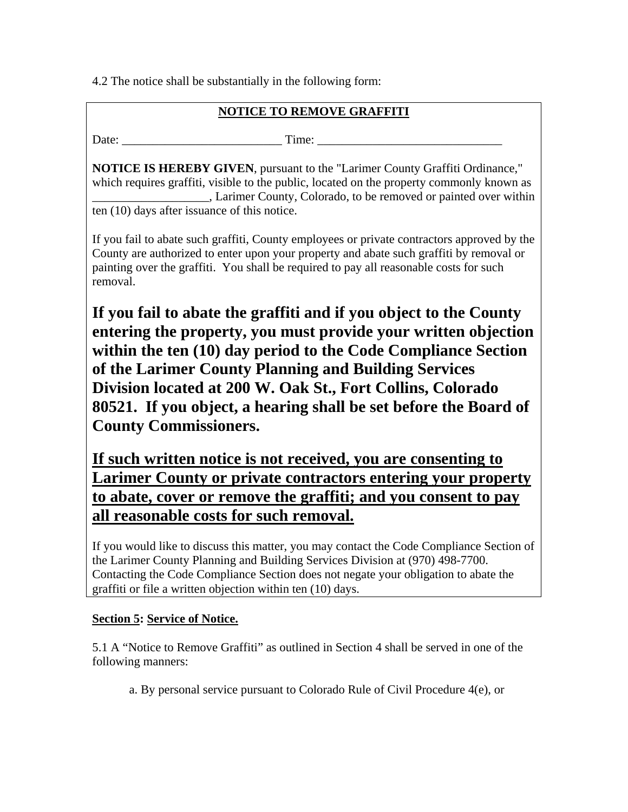4.2 The notice shall be substantially in the following form:

# **NOTICE TO REMOVE GRAFFITI**

Date: Time:

**NOTICE IS HEREBY GIVEN**, pursuant to the "Larimer County Graffiti Ordinance," which requires graffiti, visible to the public, located on the property commonly known as \_\_\_\_\_\_\_\_\_\_\_\_\_\_\_\_\_\_\_, Larimer County, Colorado, to be removed or painted over within ten (10) days after issuance of this notice.

If you fail to abate such graffiti, County employees or private contractors approved by the County are authorized to enter upon your property and abate such graffiti by removal or painting over the graffiti. You shall be required to pay all reasonable costs for such removal.

**If you fail to abate the graffiti and if you object to the County entering the property, you must provide your written objection within the ten (10) day period to the Code Compliance Section of the Larimer County Planning and Building Services Division located at 200 W. Oak St., Fort Collins, Colorado 80521. If you object, a hearing shall be set before the Board of County Commissioners.** 

**If such written notice is not received, you are consenting to Larimer County or private contractors entering your property to abate, cover or remove the graffiti; and you consent to pay all reasonable costs for such removal.**

If you would like to discuss this matter, you may contact the Code Compliance Section of the Larimer County Planning and Building Services Division at (970) 498-7700. Contacting the Code Compliance Section does not negate your obligation to abate the graffiti or file a written objection within ten (10) days.

# **Section 5: Service of Notice.**

5.1 A "Notice to Remove Graffiti" as outlined in Section 4 shall be served in one of the following manners:

a. By personal service pursuant to Colorado Rule of Civil Procedure 4(e), or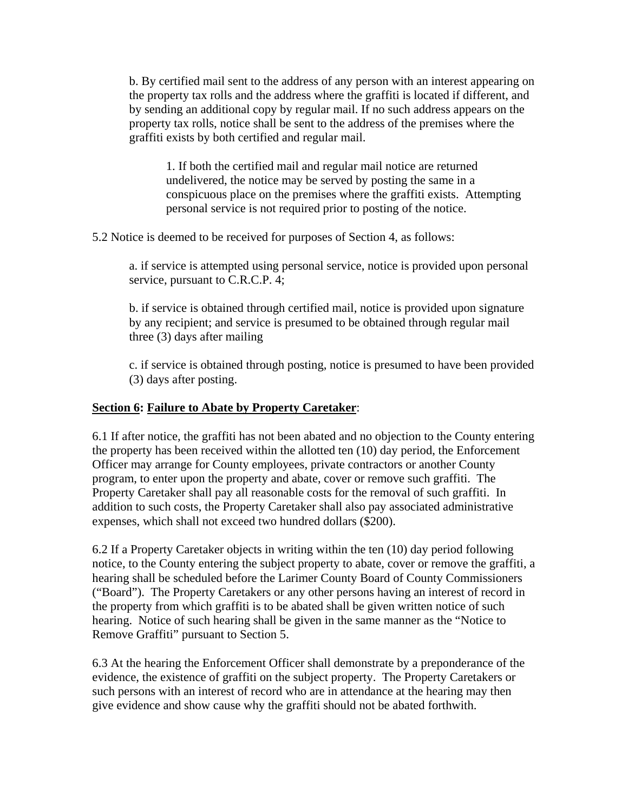b. By certified mail sent to the address of any person with an interest appearing on the property tax rolls and the address where the graffiti is located if different, and by sending an additional copy by regular mail. If no such address appears on the property tax rolls, notice shall be sent to the address of the premises where the graffiti exists by both certified and regular mail.

1. If both the certified mail and regular mail notice are returned undelivered, the notice may be served by posting the same in a conspicuous place on the premises where the graffiti exists. Attempting personal service is not required prior to posting of the notice.

5.2 Notice is deemed to be received for purposes of Section 4, as follows:

a. if service is attempted using personal service, notice is provided upon personal service, pursuant to C.R.C.P. 4;

b. if service is obtained through certified mail, notice is provided upon signature by any recipient; and service is presumed to be obtained through regular mail three (3) days after mailing

c. if service is obtained through posting, notice is presumed to have been provided (3) days after posting.

## **Section 6: Failure to Abate by Property Caretaker**:

6.1 If after notice, the graffiti has not been abated and no objection to the County entering the property has been received within the allotted ten (10) day period, the Enforcement Officer may arrange for County employees, private contractors or another County program, to enter upon the property and abate, cover or remove such graffiti. The Property Caretaker shall pay all reasonable costs for the removal of such graffiti. In addition to such costs, the Property Caretaker shall also pay associated administrative expenses, which shall not exceed two hundred dollars (\$200).

6.2 If a Property Caretaker objects in writing within the ten (10) day period following notice, to the County entering the subject property to abate, cover or remove the graffiti, a hearing shall be scheduled before the Larimer County Board of County Commissioners ("Board"). The Property Caretakers or any other persons having an interest of record in the property from which graffiti is to be abated shall be given written notice of such hearing. Notice of such hearing shall be given in the same manner as the "Notice to Remove Graffiti" pursuant to Section 5.

6.3 At the hearing the Enforcement Officer shall demonstrate by a preponderance of the evidence, the existence of graffiti on the subject property. The Property Caretakers or such persons with an interest of record who are in attendance at the hearing may then give evidence and show cause why the graffiti should not be abated forthwith.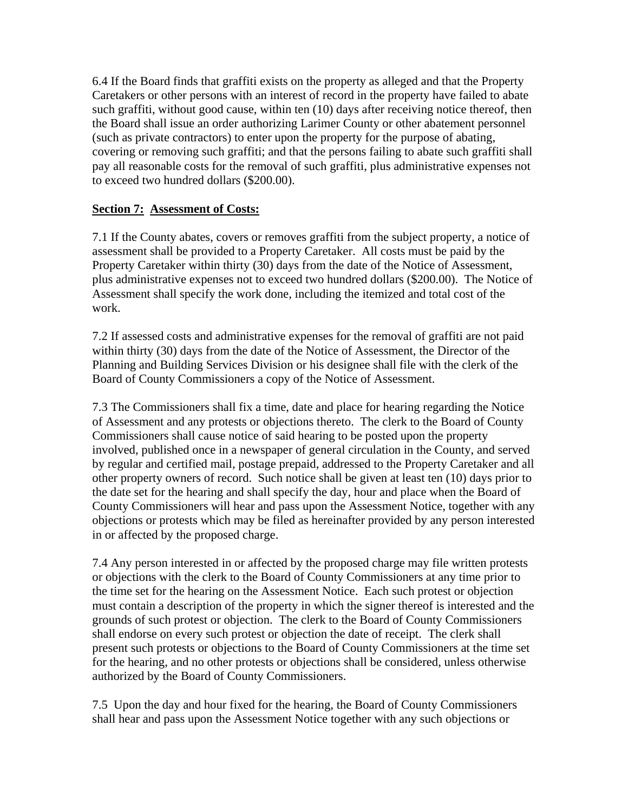6.4 If the Board finds that graffiti exists on the property as alleged and that the Property Caretakers or other persons with an interest of record in the property have failed to abate such graffiti, without good cause, within ten (10) days after receiving notice thereof, then the Board shall issue an order authorizing Larimer County or other abatement personnel (such as private contractors) to enter upon the property for the purpose of abating, covering or removing such graffiti; and that the persons failing to abate such graffiti shall pay all reasonable costs for the removal of such graffiti, plus administrative expenses not to exceed two hundred dollars (\$200.00).

### **Section 7: Assessment of Costs:**

7.1 If the County abates, covers or removes graffiti from the subject property, a notice of assessment shall be provided to a Property Caretaker. All costs must be paid by the Property Caretaker within thirty (30) days from the date of the Notice of Assessment, plus administrative expenses not to exceed two hundred dollars (\$200.00). The Notice of Assessment shall specify the work done, including the itemized and total cost of the work.

7.2 If assessed costs and administrative expenses for the removal of graffiti are not paid within thirty (30) days from the date of the Notice of Assessment, the Director of the Planning and Building Services Division or his designee shall file with the clerk of the Board of County Commissioners a copy of the Notice of Assessment.

7.3 The Commissioners shall fix a time, date and place for hearing regarding the Notice of Assessment and any protests or objections thereto. The clerk to the Board of County Commissioners shall cause notice of said hearing to be posted upon the property involved, published once in a newspaper of general circulation in the County, and served by regular and certified mail, postage prepaid, addressed to the Property Caretaker and all other property owners of record. Such notice shall be given at least ten (10) days prior to the date set for the hearing and shall specify the day, hour and place when the Board of County Commissioners will hear and pass upon the Assessment Notice, together with any objections or protests which may be filed as hereinafter provided by any person interested in or affected by the proposed charge.

7.4 Any person interested in or affected by the proposed charge may file written protests or objections with the clerk to the Board of County Commissioners at any time prior to the time set for the hearing on the Assessment Notice. Each such protest or objection must contain a description of the property in which the signer thereof is interested and the grounds of such protest or objection. The clerk to the Board of County Commissioners shall endorse on every such protest or objection the date of receipt. The clerk shall present such protests or objections to the Board of County Commissioners at the time set for the hearing, and no other protests or objections shall be considered, unless otherwise authorized by the Board of County Commissioners.

7.5 Upon the day and hour fixed for the hearing, the Board of County Commissioners shall hear and pass upon the Assessment Notice together with any such objections or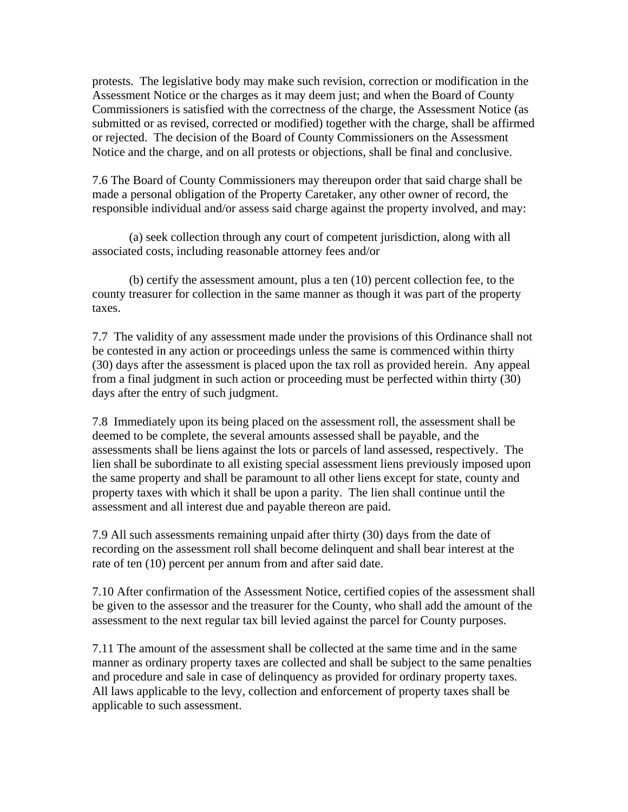protests. The legislative body may make such revision, correction or modification in the Assessment Notice or the charges as it may deem just; and when the Board of County Commissioners is satisfied with the correctness of the charge, the Assessment Notice (as submitted or as revised, corrected or modified) together with the charge, shall be affirmed or rejected. The decision of the Board of County Commissioners on the Assessment Notice and the charge, and on all protests or objections, shall be final and conclusive.

7.6 The Board of County Commissioners may thereupon order that said charge shall be made a personal obligation of the Property Caretaker, any other owner of record, the responsible individual and/or assess said charge against the property involved, and may:

 (a) seek collection through any court of competent jurisdiction, along with all associated costs, including reasonable attorney fees and/or

 (b) certify the assessment amount, plus a ten (10) percent collection fee, to the county treasurer for collection in the same manner as though it was part of the property taxes.

7.7 The validity of any assessment made under the provisions of this Ordinance shall not be contested in any action or proceedings unless the same is commenced within thirty (30) days after the assessment is placed upon the tax roll as provided herein. Any appeal from a final judgment in such action or proceeding must be perfected within thirty (30) days after the entry of such judgment.

7.8 Immediately upon its being placed on the assessment roll, the assessment shall be deemed to be complete, the several amounts assessed shall be payable, and the assessments shall be liens against the lots or parcels of land assessed, respectively. The lien shall be subordinate to all existing special assessment liens previously imposed upon the same property and shall be paramount to all other liens except for state, county and property taxes with which it shall be upon a parity. The lien shall continue until the assessment and all interest due and payable thereon are paid.

7.9 All such assessments remaining unpaid after thirty (30) days from the date of recording on the assessment roll shall become delinquent and shall bear interest at the rate of ten (10) percent per annum from and after said date.

7.10 After confirmation of the Assessment Notice, certified copies of the assessment shall be given to the assessor and the treasurer for the County, who shall add the amount of the assessment to the next regular tax bill levied against the parcel for County purposes.

7.11 The amount of the assessment shall be collected at the same time and in the same manner as ordinary property taxes are collected and shall be subject to the same penalties and procedure and sale in case of delinquency as provided for ordinary property taxes. All laws applicable to the levy, collection and enforcement of property taxes shall be applicable to such assessment.